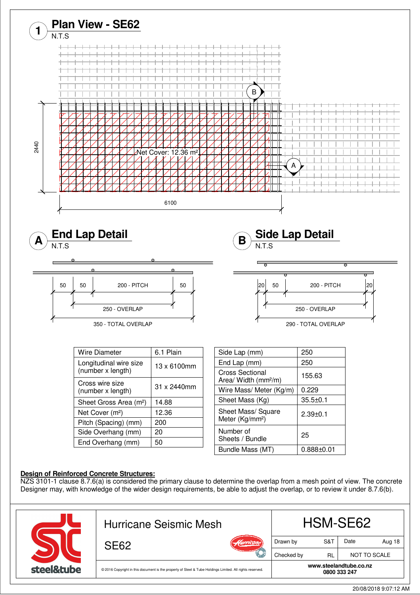

20/08/2018 9:07:12 AM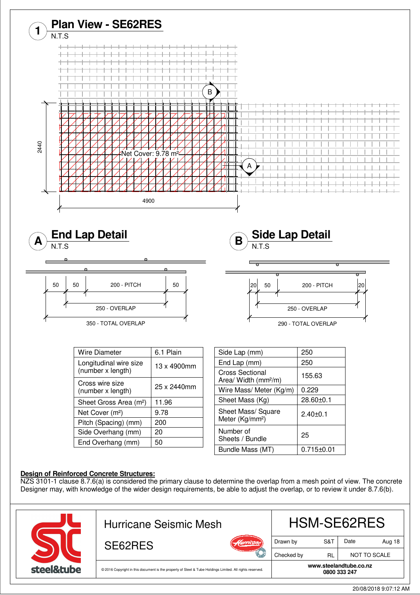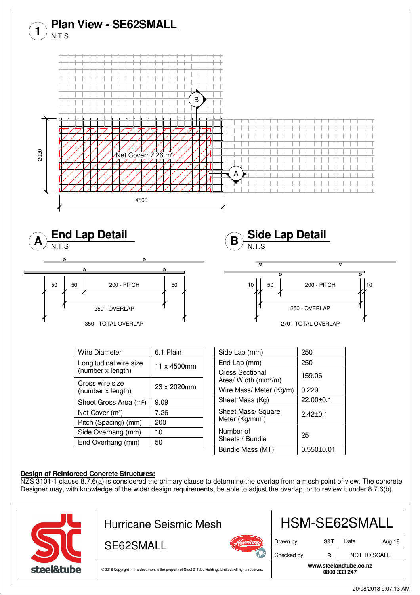

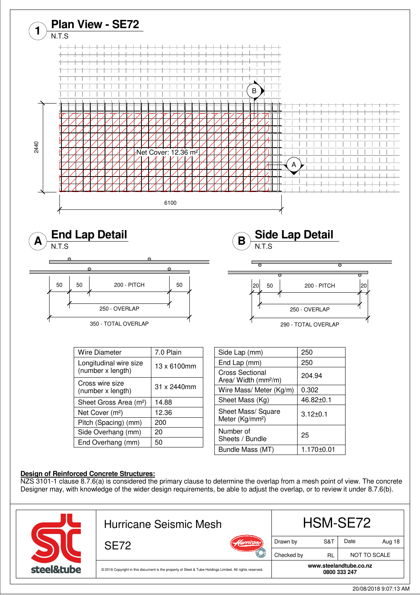

20/08/2018 9:07:13 AM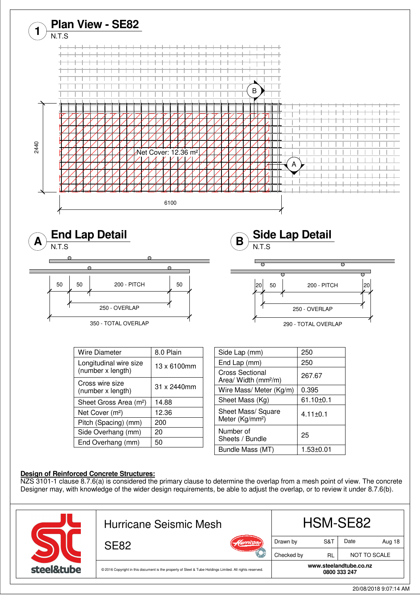

**0800 333 247** © 2016 Copyright in this document is the property of Steel & Tube Holdings Limited. All rights reserved.

steel&tube

**www.steelandtube.co.nz**

20/08/2018 9:07:14 AM